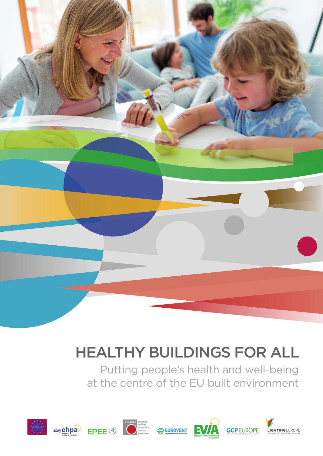# HEALTHY BUILDINGS FOR ALL

Putting people's health and well-being at the centre of the EU built environment

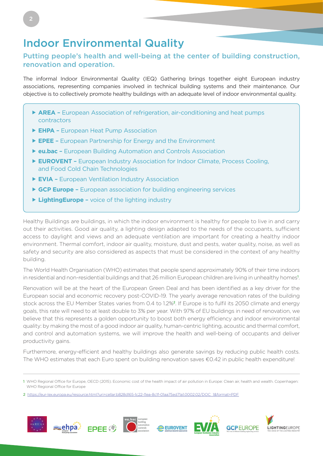# Indoor Environmental Quality

#### Putting people's health and well-being at the center of building construction, renovation and operation.

The informal Indoor Environmental Quality (IEQ) Gathering brings together eight European industry associations, representing companies involved in technical building systems and their maintenance. Our objective is to collectively promote healthy buildings with an adequate level of indoor environmental quality.

- **AREA** European Association of refrigeration, air-conditioning and heat pumps contractors
- **EHPA** European Heat Pump Association
- **EPEE** European Partnership for Energy and the Environment
- **eu.bac** European Building Automation and Controls Association
- **EUROVENT** European Industry Association for Indoor Climate, Process Cooling, and Food Cold Chain Technologies
- **EVIA** European Ventilation Industry Association
- **GCP Europe** European association for building engineering services
- ▶ LightingEurope voice of the lighting industry

Healthy Buildings are buildings, in which the indoor environment is healthy for people to live in and carry out their activities. Good air quality, a lighting design adapted to the needs of the occupants, sufficient access to daylight and views and an adequate ventilation are important for creating a healthy indoor environment. Thermal comfort, indoor air quality, moisture, dust and pests, water quality, noise, as well as safety and security are also considered as aspects that must be considered in the context of any healthy building.

The World Health Organisation (WHO) estimates that people spend approximately 90% of their time indoors in residential and non-residential buildings and that 26 million European children are living in unhealthy homes<sup>1</sup> .

Renovation will be at the heart of the European Green Deal and has been identified as a key driver for the European social and economic recovery post-COVID-19. The yearly average renovation rates of the building stock across the EU Member States varies from 0.4 to 1.2%2. If Europe is to fulfil its 2050 climate and energy goals, this rate will need to at least double to 3% per year. With 97% of EU buildings in need of renovation, we believe that this represents a golden opportunity to boost both energy efficiency and indoor environmental quality: by making the most of a good indoor air quality, human-centric lighting, acoustic and thermal comfort, and control and automation systems, we will improve the health and well-being of occupants and deliver productivity gains.

Furthermore, energy-efficient and healthy buildings also generate savings by reducing public health costs. The WHO estimates that each Euro spent on building renovation saves €0.42 in public health expenditure!

<sup>2</sup> https://eur-lex.europa.eu/resource.html?uri=cellar:b828d165-1c22-11ea-8c1f-01aa75ed71a1.0002.02/DOC\_1&format=PDF



<sup>1</sup> WHO Regional Office for Europe, OECD (2015). Economic cost of the health impact of air pollution in Europe: Clean air, health and wealth. Copenhagen: WHO Regional Office for Europe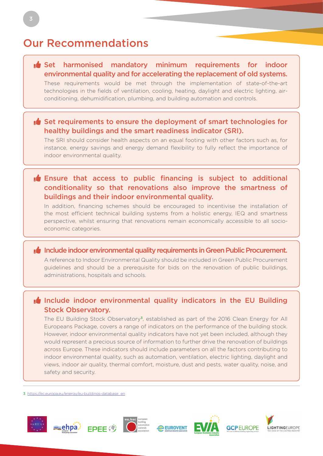# Our Recommendations

#### $\mathbf{I}$  Set harmonised mandatory minimum requirements for indoor environmental quality and for accelerating the replacement of old systems.

These requirements would be met through the implementation of state-of-the-art technologies in the fields of ventilation, cooling, heating, daylight and electric lighting, airconditioning, dehumidification, plumbing, and building automation and controls.

#### $\mathbf{F}$  Set requirements to ensure the deployment of smart technologies for healthy buildings and the smart readiness indicator (SRI).

The SRI should consider health aspects on an equal footing with other factors such as, for instance, energy savings and energy demand flexibility to fully reflect the importance of indoor environmental quality.

#### **Ensure that access to public financing is subject to additional** conditionality so that renovations also improve the smartness of buildings and their indoor environmental quality.

In addition, financing schemes should be encouraged to incentivise the installation of the most efficient technical building systems from a holistic energy, IEQ and smartness perspective, whilst ensuring that renovations remain economically accessible to all socioeconomic categories.

#### **Thumbs-up Include indoor environmental quality requirements in Green Public Procurement.**

A reference to Indoor Environmental Quality should be included in Green Public Procurement guidelines and should be a prerequisite for bids on the renovation of public buildings, administrations, hospitals and schools.

#### $\mathbf{I}$  Include indoor environmental quality indicators in the EU Building Stock Observatory.

The EU Building Stock Observatory3, established as part of the 2016 Clean Energy for All Europeans Package, covers a range of indicators on the performance of the building stock. However, indoor environmental quality indicators have not yet been included, although they would represent a precious source of information to further drive the renovation of buildings across Europe. These indicators should include parameters on all the factors contributing to indoor environmental quality, such as automation, ventilation, electric lighting, daylight and views, indoor air quality, thermal comfort, moisture, dust and pests, water quality, noise, and safety and security.

3 https://ec.europa.eu/energy/eu-buildings-database\_en







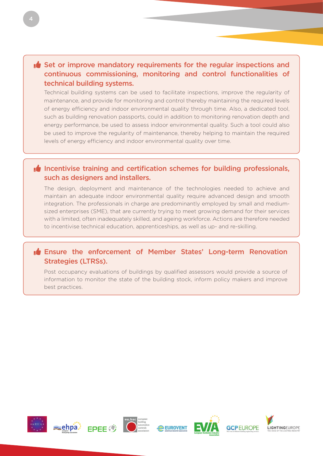#### $\mathbf{F}$  Set or improve mandatory requirements for the regular inspections and continuous commissioning, monitoring and control functionalities of technical building systems.

Technical building systems can be used to facilitate inspections, improve the regularity of maintenance, and provide for monitoring and control thereby maintaining the required levels of energy efficiency and indoor environmental quality through time. Also, a dedicated tool, such as building renovation passports, could in addition to monitoring renovation depth and energy performance, be used to assess indoor environmental quality. Such a tool could also be used to improve the regularity of maintenance, thereby helping to maintain the required levels of energy efficiency and indoor environmental quality over time.

#### $\mathbf{I}$  Incentivise training and certification schemes for building professionals, such as designers and installers.

The design, deployment and maintenance of the technologies needed to achieve and maintain an adequate indoor environmental quality require advanced design and smooth integration. The professionals in charge are predominantly employed by small and mediumsized enterprises (SME), that are currently trying to meet growing demand for their services with a limited, often inadequately skilled, and ageing workforce. Actions are therefore needed to incentivise technical education, apprenticeships, as well as up- and re-skilling.

#### **I**f Ensure the enforcement of Member States' Long-term Renovation Strategies (LTRSs).

Post occupancy evaluations of buildings by qualified assessors would provide a source of information to monitor the state of the building stock, inform policy makers and improve best practices.











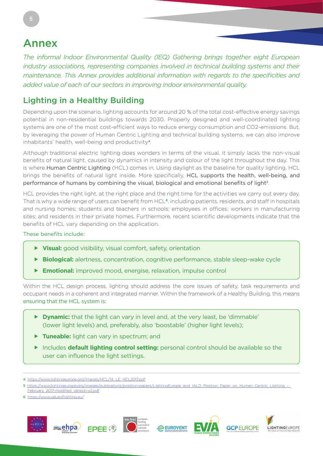# Annex

5

*The informal Indoor Environmental Quality (IEQ) Gathering brings together eight European industry associations, representing companies involved in technical building systems and their maintenance. This Annex provides additional information with regards to the specificities and added value of each of our sectors in improving indoor environmental quality.* 

## Lighting in a Healthy Building

Depending upon the scenario, lighting accounts for around 20 % of the total cost-effective energy savings potential in non-residential buildings towards 2030. Properly designed and well-coordinated lighting systems are one of the most cost-efficient ways to reduce energy consumption and CO2-emissions. But, by leveraging the power of Human Centric Lighting and technical building systems, we can also improve inhabitants' health, well-being and productivity<sup>4</sup>.

Although traditional electric lighting does wonders in terms of the visual, it simply lacks the non-visual benefits of natural light, caused by dynamics in intensity and colour of the light throughout the day. This is where Human Centric Lighting (HCL) comes in. Using daylight as the baseline for quality lighting, HCL brings the benefits of natural light inside. More specifically, HCL supports the health, well-being, and performance of humans by combining the visual, biological and emotional benefits of light<sup>5</sup>.

HCL provides the right light, at the right place and the right time for the activities we carry out every day. That is why a wide range of users can benefit from HCL<sup>6</sup>, including patients, residents, and staff in hospitals and nursing homes; students and teachers in schools; employees in offices; workers in manufacturing sites; and residents in their private homes. Furthermore, recent scientific developments indicate that the benefits of HCL vary depending on the application.

#### These benefits include:

- **Visual:** good visibility, visual comfort, safety, orientation
- **Biological:** alertness, concentration, cognitive performance, stable sleep-wake cycle
- **Emotional:** improved mood, energise, relaxation, impulse control

Within the HCL design process, lighting should address the core issues of safety, task requirements and occupant needs in a coherent and integrated manner. Within the framework of a Healthy Building, this means ensuring that the HCL system is:

- **Dynamic:** that the light can vary in level and, at the very least, be 'dimmable' (lower light levels) and, preferably, also 'boostable' (higher light levels);
- **Tuneable:** light can vary in spectrum; and
- Includes **default lighting control setting:** personal control should be available so the user can influence the light settings.

6 https://www.valueoflighting.eu/









<sup>4</sup> https://www.lightingeurope.org/images/HCL/14\_LE\_HCL2017.pdf

<sup>5</sup> https://www.lightingeurope.org/images/publications/position-papers/LightingEurope\_and\_IALD\_Position\_Paper\_on\_Human\_Centric\_Lighting [February\\_2017-modified\\_version-v2.pdf](https://www.lightingeurope.org/images/publications/position-papers/LightingEurope_and_IALD_Position_Paper_on_Human_Centric_Lighting_-_February_2017-modified_version-v2.pdf)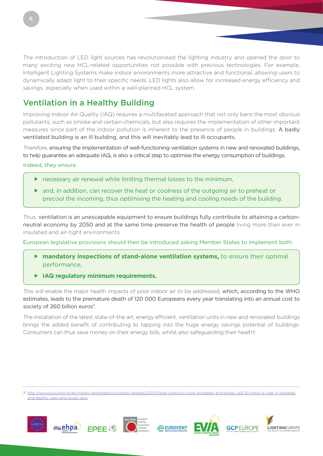The introduction of LED light sources has revolutionised the lighting industry and opened the door to many exciting new HCL-related opportunities not possible with previous technologies. For example, Intelligent Lighting Systems make indoor environments more attractive and functional, allowing users to dynamically adapt light to their specific needs. LED lights also allow for increased energy efficiency and savings, especially when used within a well-planned HCL system.

### Ventilation in a Healthy Building

Improving Indoor Air Quality (IAQ) requires a multifaceted approach that not only bans the most obvious pollutants, such as smoke and certain chemicals, but also requires the implementation of other important measures since part of the indoor pollution is inherent to the presence of people in buildings. A badly ventilated building is an ill building, and this will inevitably lead to ill occupants.

Therefore, ensuring the implementation of well-functioning ventilation systems in new and renovated buildings, to help guarantee an adequate IAQ, is also a critical step to optimise the energy consumption of buildings.

Indeed, they ensure:

- necessary air renewal while limiting thermal losses to the minimum,
- and, in addition, can recover the heat or coolness of the outgoing air to preheat or precool the incoming, thus optimising the heating and cooling needs of the building.

Thus, ventilation is an unescapable equipment to ensure buildings fully contribute to attaining a carbonneutral economy by 2050 and at the same time preserve the health of people living more than ever in insulated and air-tight environments.

European legislative provisions should then be introduced asking Member States to implement both:

- **mandatory inspections of stand-alone ventilation systems,** to ensure their optimal performance,
- **IAQ regulatory minimum requirements.**

This will enable the major health impacts of poor indoor air to be addressed, which, according to the WHO estimates, leads to the premature death of 120 000 Europeans every year translating into an annual cost to society of 260 billion euros<sup>7</sup>.

The installation of the latest state-of-the art, energy efficient, ventilation units in new and renovated buildings brings the added benefit of contributing to tapping into the huge energy savings potential of buildings. Consumers can thus save money on their energy bills, whilst also safeguarding their health!

7 [http://www.euro.who.int/en/media-centre/sections/press-releases/2015/04/air-pollution-costs-european-economies-us\\$-1.6-trillion-a-year-in-diseases](http://www.euro.who.int/en/media-centre/sections/press-releases/2015/04/air-pollution-costs-european-economies-us$-1.6-trillion-a-year-in-diseases-and-deaths,-new-who-study-says)[and-deaths,-new-who-study-says](http://www.euro.who.int/en/media-centre/sections/press-releases/2015/04/air-pollution-costs-european-economies-us$-1.6-trillion-a-year-in-diseases-and-deaths,-new-who-study-says)







**LIGHTINGEUROPE** 

6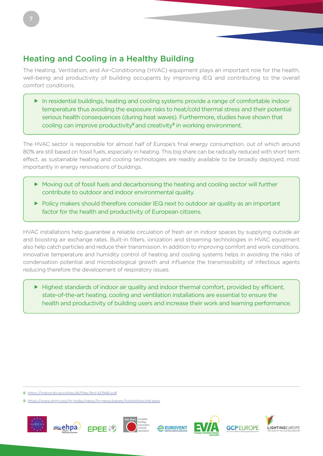The Heating, Ventilation, and Air-Conditioning (HVAC) equipment plays an important role for the health, well-being and productivity of building occupants by improving IEQ and contributing to the overall comfort conditions.

 In residential buildings, heating and cooling systems provide a range of comfortable indoor temperature thus avoiding the exposure risks to heat/cold thermal stress and their potential serious health consequences (during heat waves). Furthermore, studies have shown that cooling can improve productivity<sup>8</sup> and creativity<sup>9</sup> in working environment.

The HVAC sector is responsible for almost half of Europe's final energy consumption, out of which around 80% are still based on fossil fuels, especially in heating. This big share can be radically reduced with short term effect, as sustainable heating and cooling technologies are readily available to be broadly deployed, most importantly in energy renovations of buildings.

- Moving out of fossil fuels and decarbonising the heating and cooling sector will further contribute to outdoor and indoor environmental quality.
- Policy makers should therefore consider IEQ next to outdoor air quality as an important factor for the health and productivity of European citizens.

HVAC installations help guarantee a reliable circulation of fresh air in indoor spaces by supplying outside air and boosting air exchange rates. Built-in filters, ionization and streaming technologies in HVAC equipment also help catch particles and reduce their transmission. In addition to improving comfort and work conditions, innovative temperature and humidity control of heating and cooling systems helps in avoiding the risks of condensation potential and microbiological growth and influence the transmissibility of infectious agents reducing therefore the development of respiratory issues.

Highest standards of indoor air quality and indoor thermal comfort, provided by efficient, state-of-the-art heating, cooling and ventilation installations are essential to ensure the health and productivity of building users and increase their work and learning performance.

<sup>9</sup> https://www.shrm.org/hr-today/news/hr-news/pages/toohottoocold.as





<sup>8</sup> https://indoor.lbl.gov/sites/all/files/lbnl-60946.pdf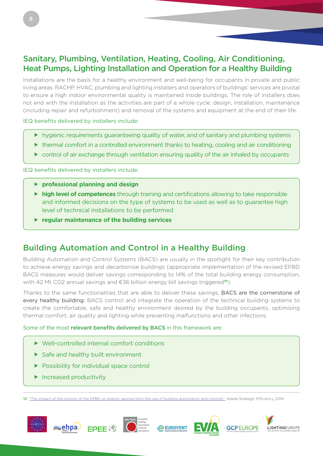### Sanitary, Plumbing, Ventilation, Heating, Cooling, Air Conditioning, Heat Pumps, Lighting Installation and Operation for a Healthy Building

Installations are the basis for a healthy environment and well-being for occupants in private and public living areas. RACHP, HVAC, plumbing and lighting installers and operators of buildings' services are pivotal to ensure a high indoor environmental quality is maintained inside buildings. The role of installers does not end with the installation as the activities are part of a whole cycle: design, installation, maintenance (including repair and refurbishment) and removal of the systems and equipment at the end of their life.

IEQ benefits delivered by installers include:

- hygienic requirements guaranteeing quality of water, and of sanitary and plumbing systems
- ▶ thermal comfort in a controlled environment thanks to heating, cooling and air conditioning
- $\triangleright$  control of air exchange through ventilation ensuring quality of the air inhaled by occupants

IEQ benefits delivered by installers include:

- **professional planning and design**
- **high level of competences** through training and certifications allowing to take responsible and informed decisions on the type of systems to be used as well as to guarantee high level of technical installations to be performed
- **regular maintenance of the building services**

### Building Automation and Control in a Healthy Building

Building Automation and Control Systems (BACS) are usually in the spotlight for their key contribution to achieve energy savings and decarbonise buildings (appropriate implementation of the revised EPBD BACS measures would deliver savings corresponding to 14% of the total building energy consumption, with 42 Mt CO2 annual savings and  $\epsilon$ 36 billion energy bill savings triggered<sup>10</sup>).

Thanks to the same functionalities that are able to deliver these savings, BACS are the cornerstone of every healthy building: BACS control and integrate the operation of the technical building systems to create the comfortable, safe and healthy environment desired by the building occupants, optimising thermal comfort, air quality and lighting while preventing malfunctions and other infections.

#### Some of the most relevant benefits delivered by BACS in this framework are:

- Well-controlled internal comfort conditions
- Safe and healthy built environment
- ▶ Possibility for individual space control
- $\blacktriangleright$  Increased productivity

10 ["The impact of the revision of the EPBD on energy savings from the use of building automation and controls",](https://www.eubac.org/cms/upload/downloads/position_papers/EPBD_impacts_from_building_automation_controls.pdf) Waide Strategic Efficiency, 2019